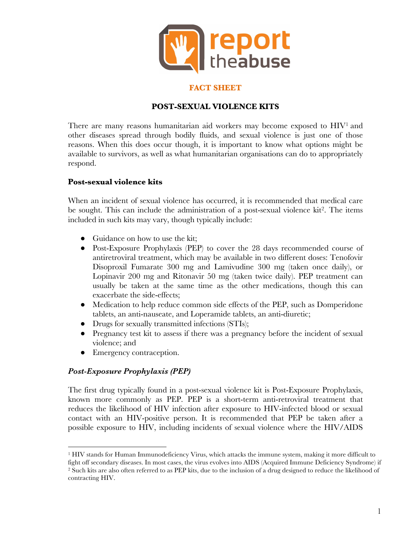

### **FACT SHEET**

## **POST-SEXUAL VIOLENCE KITS**

There are many reasons humanitarian aid workers may become exposed to  $HIV<sup>1</sup>$  and other diseases spread through bodily fluids, and sexual violence is just one of those reasons. When this does occur though, it is important to know what options might be available to survivors, as well as what humanitarian organisations can do to appropriately respond.

#### **Post-sexual violence kits**

When an incident of sexual violence has occurred, it is recommended that medical care be sought. This can include the administration of a post-sexual violence kit<sup>2</sup>. The items included in such kits may vary, though typically include:

- Guidance on how to use the kit;
- Post-Exposure Prophylaxis (PEP) to cover the 28 days recommended course of antiretroviral treatment, which may be available in two different doses: Tenofovir Disoproxil Fumarate 300 mg and Lamivudine 300 mg (taken once daily), or Lopinavir 200 mg and Ritonavir 50 mg (taken twice daily). PEP treatment can usually be taken at the same time as the other medications, though this can exacerbate the side-effects;
- Medication to help reduce common side effects of the PEP, such as Domperidone tablets, an anti-nauseate, and Loperamide tablets, an anti-diuretic;
- Drugs for sexually transmitted infections (STIs);
- Pregnancy test kit to assess if there was a pregnancy before the incident of sexual violence; and
- Emergency contraception.

#### *Post-Exposure Prophylaxis (PEP)*

<u>.</u>

The first drug typically found in a post-sexual violence kit is Post-Exposure Prophylaxis, known more commonly as PEP. PEP is a short-term anti-retroviral treatment that reduces the likelihood of HIV infection after exposure to HIV-infected blood or sexual contact with an HIV-positive person. It is recommended that PEP be taken after a possible exposure to HIV, including incidents of sexual violence where the HIV/AIDS

<sup>1</sup> HIV stands for Human Immunodeficiency Virus, which attacks the immune system, making it more difficult to fight off secondary diseases. In most cases, the virus evolves into AIDS (Acquired Immune Deficiency Syndrome) if <sup>2</sup> Such kits are also often referred to as PEP kits, due to the inclusion of a drug designed to reduce the likelihood of contracting HIV.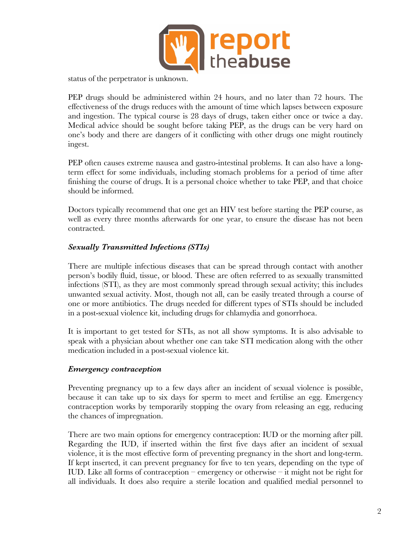

status of the perpetrator is unknown.

PEP drugs should be administered within 24 hours, and no later than 72 hours. The effectiveness of the drugs reduces with the amount of time which lapses between exposure and ingestion. The typical course is 28 days of drugs, taken either once or twice a day. Medical advice should be sought before taking PEP, as the drugs can be very hard on one's body and there are dangers of it conflicting with other drugs one might routinely ingest.

PEP often causes extreme nausea and gastro-intestinal problems. It can also have a longterm effect for some individuals, including stomach problems for a period of time after finishing the course of drugs. It is a personal choice whether to take PEP, and that choice should be informed.

Doctors typically recommend that one get an HIV test before starting the PEP course, as well as every three months afterwards for one year, to ensure the disease has not been contracted.

### *Sexually Transmitted Infections (STIs)*

There are multiple infectious diseases that can be spread through contact with another person's bodily fluid, tissue, or blood. These are often referred to as sexually transmitted infections (STI), as they are most commonly spread through sexual activity; this includes unwanted sexual activity. Most, though not all, can be easily treated through a course of one or more antibiotics. The drugs needed for different types of STIs should be included in a post-sexual violence kit, including drugs for chlamydia and gonorrhoea.

It is important to get tested for STIs, as not all show symptoms. It is also advisable to speak with a physician about whether one can take STI medication along with the other medication included in a post-sexual violence kit.

#### *Emergency contraception*

Preventing pregnancy up to a few days after an incident of sexual violence is possible, because it can take up to six days for sperm to meet and fertilise an egg. Emergency contraception works by temporarily stopping the ovary from releasing an egg, reducing the chances of impregnation.

There are two main options for emergency contraception: IUD or the morning after pill. Regarding the IUD, if inserted within the first five days after an incident of sexual violence, it is the most effective form of preventing pregnancy in the short and long-term. If kept inserted, it can prevent pregnancy for five to ten years, depending on the type of IUD. Like all forms of contraception – emergency or otherwise – it might not be right for all individuals. It does also require a sterile location and qualified medial personnel to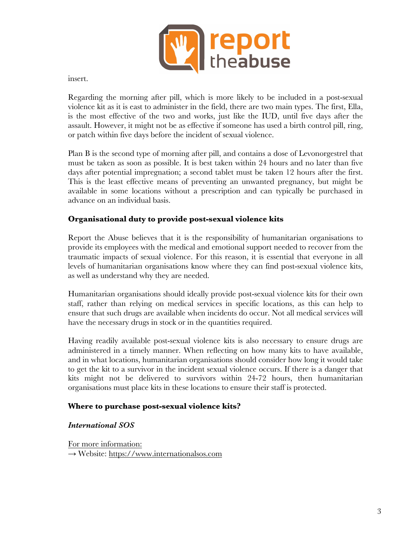

insert.

Regarding the morning after pill, which is more likely to be included in a post-sexual violence kit as it is east to administer in the field, there are two main types. The first, Ella, is the most effective of the two and works, just like the IUD, until five days after the assault. However, it might not be as effective if someone has used a birth control pill, ring, or patch within five days before the incident of sexual violence.

Plan B is the second type of morning after pill, and contains a dose of Levonorgestrel that must be taken as soon as possible. It is best taken within 24 hours and no later than five days after potential impregnation; a second tablet must be taken 12 hours after the first. This is the least effective means of preventing an unwanted pregnancy, but might be available in some locations without a prescription and can typically be purchased in advance on an individual basis.

#### **Organisational duty to provide post-sexual violence kits**

Report the Abuse believes that it is the responsibility of humanitarian organisations to provide its employees with the medical and emotional support needed to recover from the traumatic impacts of sexual violence. For this reason, it is essential that everyone in all levels of humanitarian organisations know where they can find post-sexual violence kits, as well as understand why they are needed.

Humanitarian organisations should ideally provide post-sexual violence kits for their own staff, rather than relying on medical services in specific locations, as this can help to ensure that such drugs are available when incidents do occur. Not all medical services will have the necessary drugs in stock or in the quantities required.

Having readily available post-sexual violence kits is also necessary to ensure drugs are administered in a timely manner. When reflecting on how many kits to have available, and in what locations, humanitarian organisations should consider how long it would take to get the kit to a survivor in the incident sexual violence occurs. If there is a danger that kits might not be delivered to survivors within 24-72 hours, then humanitarian organisations must place kits in these locations to ensure their staff is protected.

#### **Where to purchase post-sexual violence kits?**

#### *International SOS*

For more information: → Website: https://www.internationalsos.com